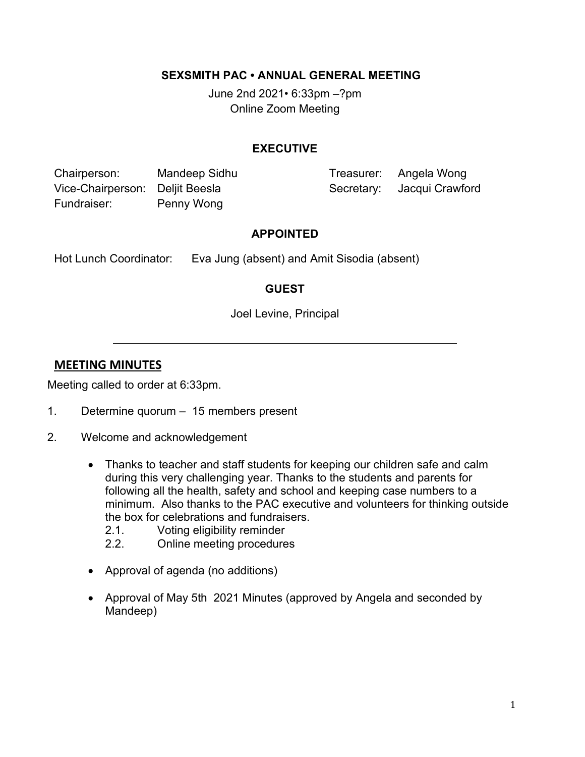#### **SEXSMITH PAC • ANNUAL GENERAL MEETING**

June 2nd 2021*•* 6:33pm –?pm Online Zoom Meeting

#### **EXECUTIVE**

Chairperson: Mandeep Sidhu Treasurer: Angela Wong Vice-Chairperson: Deljit Beesla Secretary: Jacqui Crawford Fundraiser: Penny Wong

#### **APPOINTED**

Hot Lunch Coordinator: Eva Jung (absent) and Amit Sisodia (absent)

# **GUEST**

Joel Levine, Principal

# **MEETING MINUTES**

Meeting called to order at 6:33pm.

- 1. Determine quorum 15 members present
- 2. Welcome and acknowledgement
	- Thanks to teacher and staff students for keeping our children safe and calm during this very challenging year. Thanks to the students and parents for following all the health, safety and school and keeping case numbers to a minimum. Also thanks to the PAC executive and volunteers for thinking outside the box for celebrations and fundraisers.
		- 2.1. Voting eligibility reminder
		- 2.2. Online meeting procedures
	- Approval of agenda (no additions)
	- Approval of May 5th 2021 Minutes (approved by Angela and seconded by Mandeep)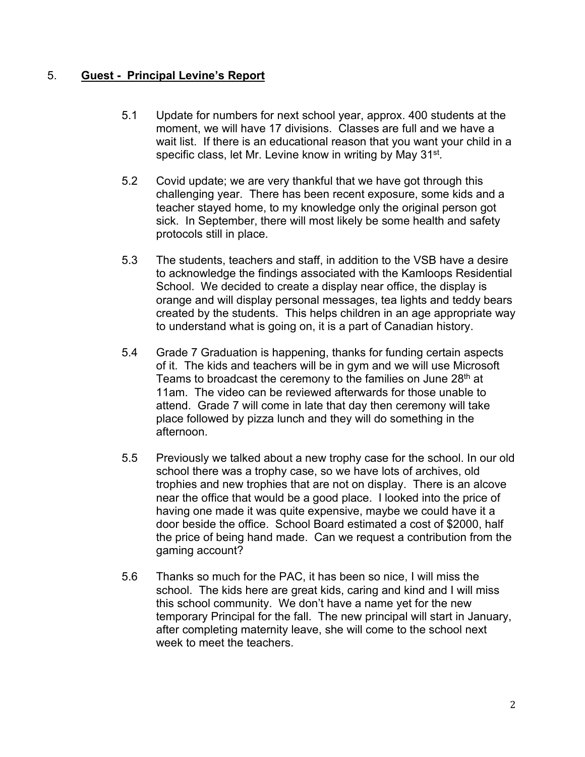### 5. **Guest - Principal Levine's Report**

- 5.1 Update for numbers for next school year, approx. 400 students at the moment, we will have 17 divisions. Classes are full and we have a wait list. If there is an educational reason that you want your child in a specific class, let Mr. Levine know in writing by May 31<sup>st</sup>.
- 5.2 Covid update; we are very thankful that we have got through this challenging year. There has been recent exposure, some kids and a teacher stayed home, to my knowledge only the original person got sick. In September, there will most likely be some health and safety protocols still in place.
- 5.3 The students, teachers and staff, in addition to the VSB have a desire to acknowledge the findings associated with the Kamloops Residential School. We decided to create a display near office, the display is orange and will display personal messages, tea lights and teddy bears created by the students. This helps children in an age appropriate way to understand what is going on, it is a part of Canadian history.
- 5.4 Grade 7 Graduation is happening, thanks for funding certain aspects of it. The kids and teachers will be in gym and we will use Microsoft Teams to broadcast the ceremony to the families on June 28<sup>th</sup> at 11am. The video can be reviewed afterwards for those unable to attend. Grade 7 will come in late that day then ceremony will take place followed by pizza lunch and they will do something in the afternoon.
- 5.5 Previously we talked about a new trophy case for the school. In our old school there was a trophy case, so we have lots of archives, old trophies and new trophies that are not on display. There is an alcove near the office that would be a good place. I looked into the price of having one made it was quite expensive, maybe we could have it a door beside the office. School Board estimated a cost of \$2000, half the price of being hand made. Can we request a contribution from the gaming account?
- 5.6 Thanks so much for the PAC, it has been so nice, I will miss the school. The kids here are great kids, caring and kind and I will miss this school community. We don't have a name yet for the new temporary Principal for the fall. The new principal will start in January, after completing maternity leave, she will come to the school next week to meet the teachers.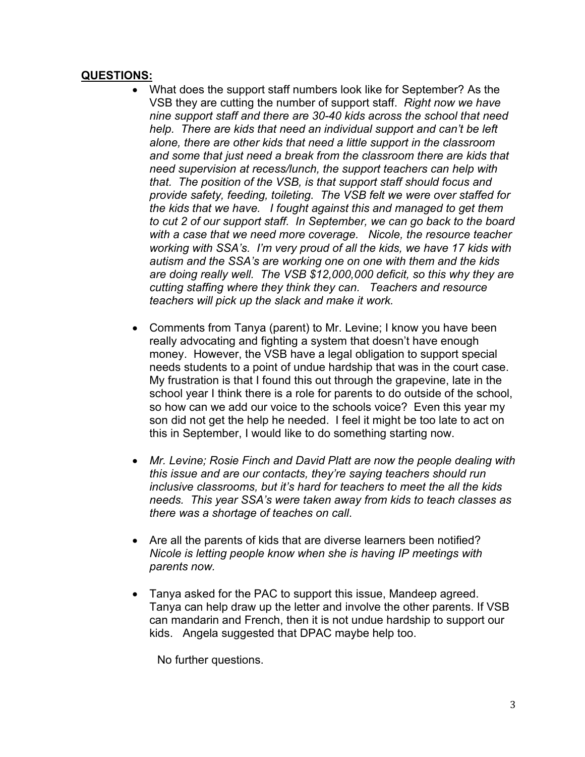#### **QUESTIONS:**

- What does the support staff numbers look like for September? As the VSB they are cutting the number of support staff. *Right now we have nine support staff and there are 30-40 kids across the school that need help. There are kids that need an individual support and can't be left alone, there are other kids that need a little support in the classroom and some that just need a break from the classroom there are kids that need supervision at recess/lunch, the support teachers can help with that. The position of the VSB, is that support staff should focus and provide safety, feeding, toileting. The VSB felt we were over staffed for the kids that we have. I fought against this and managed to get them to cut 2 of our support staff. In September, we can go back to the board with a case that we need more coverage. Nicole, the resource teacher working with SSA's. I'm very proud of all the kids, we have 17 kids with autism and the SSA's are working one on one with them and the kids are doing really well. The VSB \$12,000,000 deficit, so this why they are cutting staffing where they think they can. Teachers and resource teachers will pick up the slack and make it work.*
- Comments from Tanya (parent) to Mr. Levine; I know you have been really advocating and fighting a system that doesn't have enough money. However, the VSB have a legal obligation to support special needs students to a point of undue hardship that was in the court case. My frustration is that I found this out through the grapevine, late in the school year I think there is a role for parents to do outside of the school, so how can we add our voice to the schools voice? Even this year my son did not get the help he needed. I feel it might be too late to act on this in September, I would like to do something starting now.
- *Mr. Levine; Rosie Finch and David Platt are now the people dealing with this issue and are our contacts, they're saying teachers should run inclusive classrooms, but it's hard for teachers to meet the all the kids needs. This year SSA's were taken away from kids to teach classes as there was a shortage of teaches on call*.
- Are all the parents of kids that are diverse learners been notified? *Nicole is letting people know when she is having IP meetings with parents now.*
- Tanya asked for the PAC to support this issue, Mandeep agreed. Tanya can help draw up the letter and involve the other parents. If VSB can mandarin and French, then it is not undue hardship to support our kids. Angela suggested that DPAC maybe help too.

No further questions.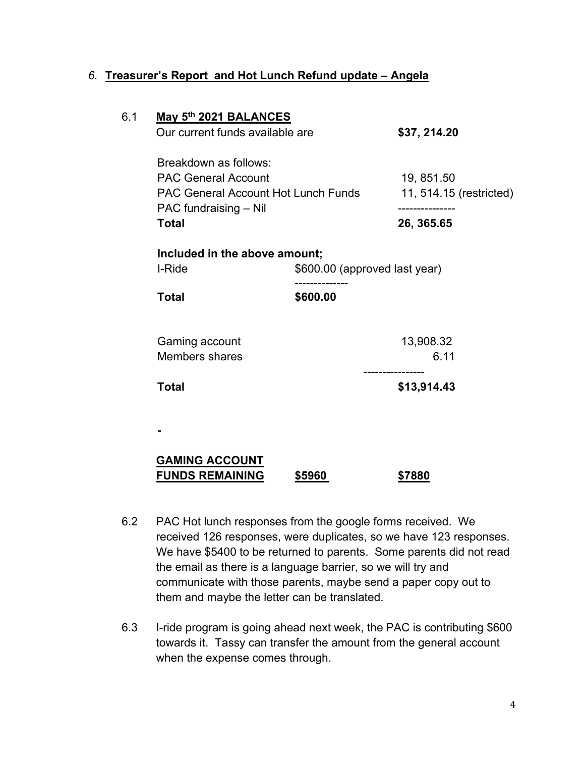#### *6.* **Treasurer's Report and Hot Lunch Refund update – Angela**

| 6.1 | May 5th 2021 BALANCES                                                                                             |          |                                                         |
|-----|-------------------------------------------------------------------------------------------------------------------|----------|---------------------------------------------------------|
|     | Our current funds available are                                                                                   |          | \$37, 214.20                                            |
|     | Breakdown as follows:                                                                                             |          |                                                         |
|     | <b>PAC General Account</b><br><b>PAC General Account Hot Lunch Funds</b><br>PAC fundraising - Nil<br><b>Total</b> |          | 19, 851.50<br>11, 514.15 (restricted)<br>-------------- |
|     |                                                                                                                   |          |                                                         |
|     |                                                                                                                   |          |                                                         |
|     |                                                                                                                   |          | 26, 365.65                                              |
|     | Included in the above amount;                                                                                     |          |                                                         |
|     | I-Ride<br>\$600.00 (approved last year)                                                                           |          |                                                         |
|     | <b>Total</b>                                                                                                      | \$600.00 |                                                         |
|     | Gaming account                                                                                                    |          | 13,908.32                                               |
|     | <b>Members shares</b>                                                                                             |          | 6.11                                                    |
|     | <b>Total</b>                                                                                                      |          | \$13,914.43                                             |
|     |                                                                                                                   |          |                                                         |
|     | <b>GAMING ACCOUNT</b><br><b>FUNDS REMAINING</b>                                                                   | \$5960   | \$7880                                                  |

- 6.2 PAC Hot lunch responses from the google forms received. We received 126 responses, were duplicates, so we have 123 responses. We have \$5400 to be returned to parents. Some parents did not read the email as there is a language barrier, so we will try and communicate with those parents, maybe send a paper copy out to them and maybe the letter can be translated.
- 6.3 I-ride program is going ahead next week, the PAC is contributing \$600 towards it. Tassy can transfer the amount from the general account when the expense comes through.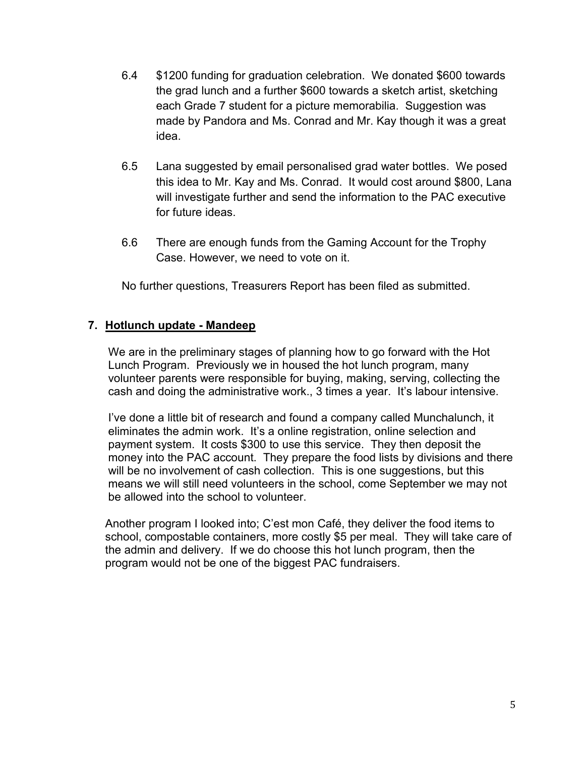- 6.4 \$1200 funding for graduation celebration. We donated \$600 towards the grad lunch and a further \$600 towards a sketch artist, sketching each Grade 7 student for a picture memorabilia. Suggestion was made by Pandora and Ms. Conrad and Mr. Kay though it was a great idea.
- 6.5 Lana suggested by email personalised grad water bottles. We posed this idea to Mr. Kay and Ms. Conrad. It would cost around \$800, Lana will investigate further and send the information to the PAC executive for future ideas.
- 6.6 There are enough funds from the Gaming Account for the Trophy Case. However, we need to vote on it.

No further questions, Treasurers Report has been filed as submitted.

#### **7. Hotlunch update - Mandeep**

We are in the preliminary stages of planning how to go forward with the Hot Lunch Program. Previously we in housed the hot lunch program, many volunteer parents were responsible for buying, making, serving, collecting the cash and doing the administrative work., 3 times a year. It's labour intensive.

I've done a little bit of research and found a company called Munchalunch, it eliminates the admin work. It's a online registration, online selection and payment system. It costs \$300 to use this service. They then deposit the money into the PAC account. They prepare the food lists by divisions and there will be no involvement of cash collection. This is one suggestions, but this means we will still need volunteers in the school, come September we may not be allowed into the school to volunteer.

Another program I looked into; C'est mon Café, they deliver the food items to school, compostable containers, more costly \$5 per meal. They will take care of the admin and delivery. If we do choose this hot lunch program, then the program would not be one of the biggest PAC fundraisers.